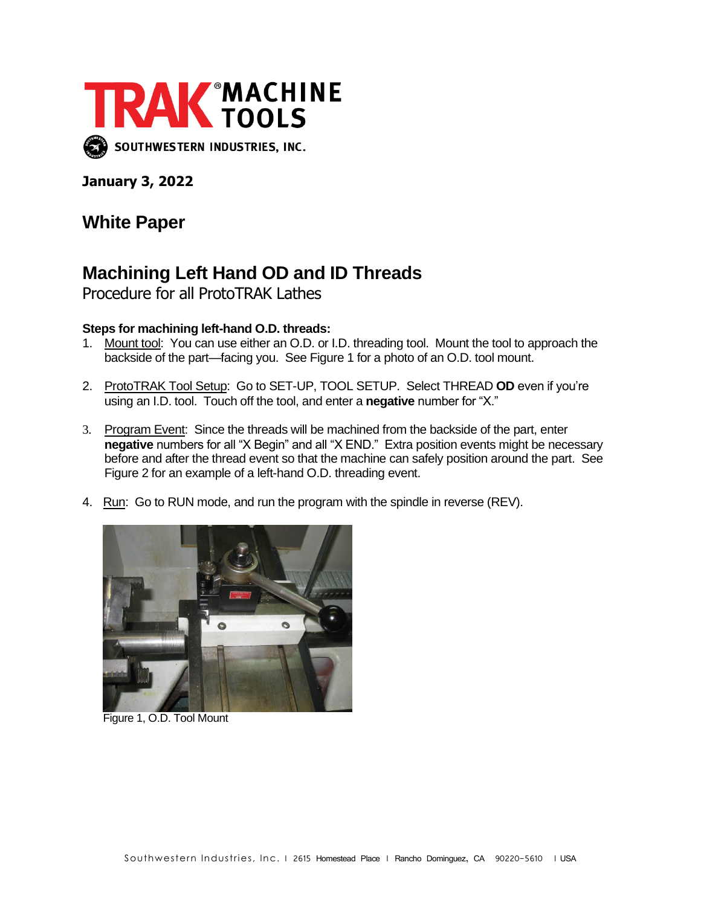

**January 3, 2022**

## **White Paper**

## **Machining Left Hand OD and ID Threads**

Procedure for all ProtoTRAK Lathes

## **Steps for machining left-hand O.D. threads:**

- 1. Mount tool: You can use either an O.D. or I.D. threading tool. Mount the tool to approach the backside of the part—facing you. See Figure 1 for a photo of an O.D. tool mount.
- 2. ProtoTRAK Tool Setup: Go to SET-UP, TOOL SETUP. Select THREAD **OD** even if you're using an I.D. tool. Touch off the tool, and enter a **negative** number for "X."
- 3. Program Event: Since the threads will be machined from the backside of the part, enter **negative** numbers for all "X Begin" and all "X END." Extra position events might be necessary before and after the thread event so that the machine can safely position around the part. See Figure 2 for an example of a left-hand O.D. threading event.
- 4. Run: Go to RUN mode, and run the program with the spindle in reverse (REV).



Figure 1, O.D. Tool Mount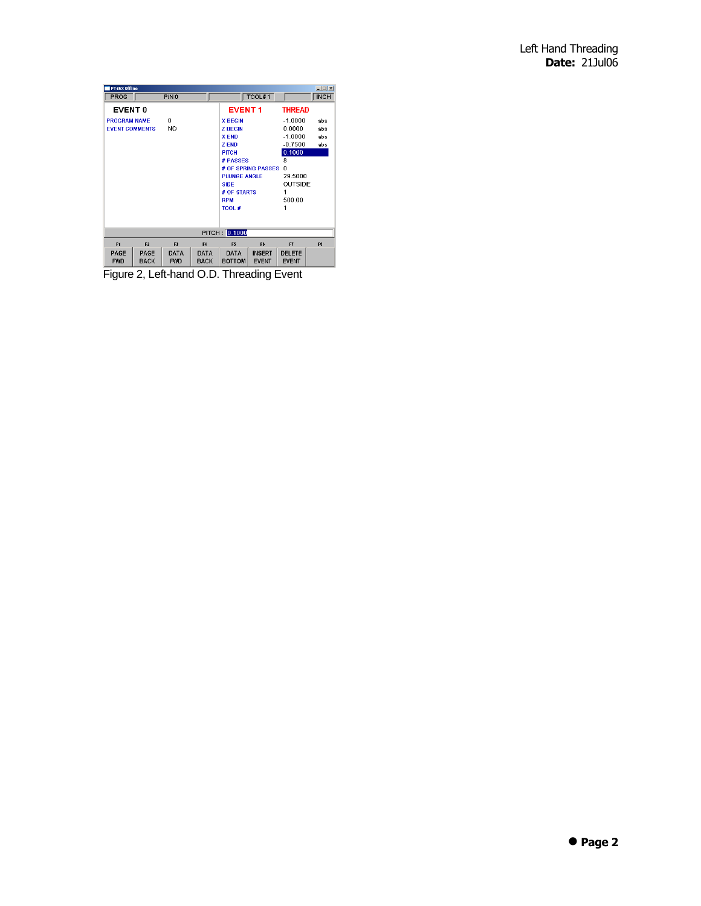| <b>PT4SX Offline</b><br>$ \Box$ $\times$                |                     |                           |                            |                                  |                               |                               |                |  |  |  |  |  |
|---------------------------------------------------------|---------------------|---------------------------|----------------------------|----------------------------------|-------------------------------|-------------------------------|----------------|--|--|--|--|--|
| PROG                                                    |                     | P/N0                      |                            | TOOL#1<br><b>INCH</b>            |                               |                               |                |  |  |  |  |  |
| <b>EVENT 0</b>                                          |                     |                           |                            | <b>EVENT1</b>                    |                               | <b>THREAD</b>                 |                |  |  |  |  |  |
| 0<br><b>PROGRAM NAME</b><br>NO<br><b>EVENT COMMENTS</b> |                     |                           |                            | <b>X BEGIN</b><br><b>Z BEGIN</b> |                               | $-1.0000$<br>0.0000           | abs<br>abs     |  |  |  |  |  |
|                                                         |                     |                           |                            | <b>XEND</b><br>7 FND             |                               | $-1.0000$<br>$-0.7500$        | abs<br>abs     |  |  |  |  |  |
|                                                         |                     |                           |                            | <b>PITCH</b><br># PASSES         |                               | 0.1000<br>8                   |                |  |  |  |  |  |
|                                                         |                     |                           |                            | # OF SPRING PASSES               |                               | $\bf{0}$                      |                |  |  |  |  |  |
|                                                         |                     |                           |                            | PLUNGE ANGLE<br><b>SIDE</b>      |                               | 29.5000                       | <b>OUTSIDE</b> |  |  |  |  |  |
|                                                         |                     |                           |                            | # OF STARTS<br><b>RPM</b>        |                               | 500.00                        |                |  |  |  |  |  |
|                                                         |                     |                           |                            | <b>TOOL #</b>                    |                               | 1                             |                |  |  |  |  |  |
|                                                         |                     |                           |                            |                                  |                               |                               |                |  |  |  |  |  |
| PITCH: 0.1000                                           |                     |                           |                            |                                  |                               |                               |                |  |  |  |  |  |
| F <sub>1</sub>                                          | F <sub>2</sub>      | F <sub>3</sub>            | F4                         | F <sub>5</sub>                   | F6                            | F7                            | F <sub>8</sub> |  |  |  |  |  |
| PAGE<br><b>FWD</b>                                      | PAGE<br><b>BACK</b> | <b>DATA</b><br><b>FWD</b> | <b>DATA</b><br><b>BACK</b> | <b>DATA</b><br><b>BOTTOM</b>     | <b>INSERT</b><br><b>EVENT</b> | <b>DELETE</b><br><b>EVENT</b> |                |  |  |  |  |  |

Figure 2, Left-hand O.D. Threading Event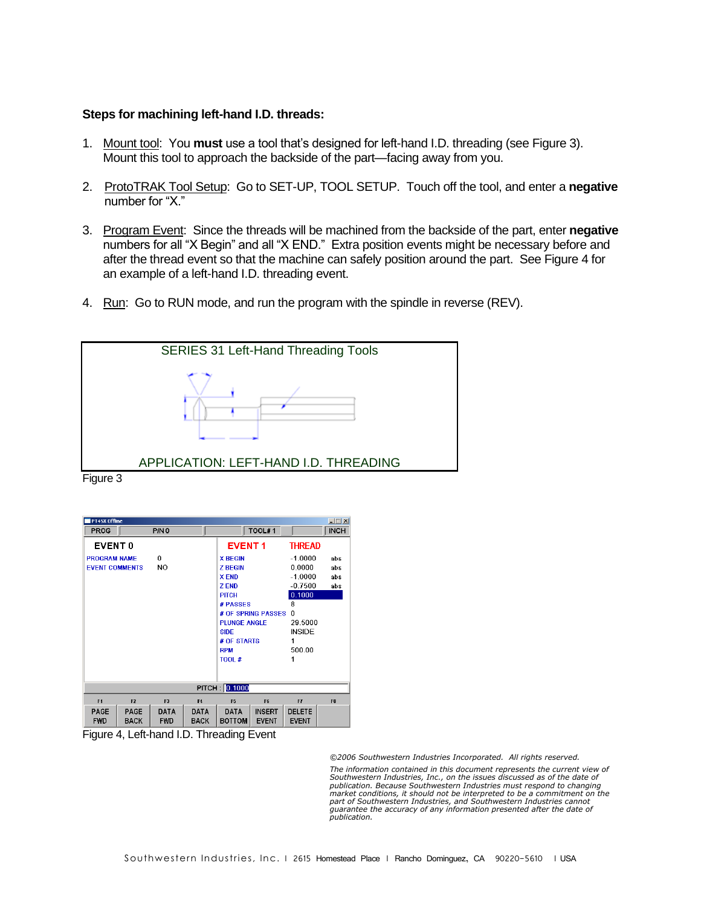## **Steps for machining left-hand I.D. threads:**

- 1. Mount tool: You **must** use a tool that's designed for left-hand I.D. threading (see Figure 3). Mount this tool to approach the backside of the part—facing away from you.
- 2. ProtoTRAK Tool Setup: Go to SET-UP, TOOL SETUP. Touch off the tool, and enter a **negative** number for "X."
- 3. Program Event: Since the threads will be machined from the backside of the part, enter **negative** numbers for all "X Begin" and all "X END." Extra position events might be necessary before and after the thread event so that the machine can safely position around the part. See Figure 4 for an example of a left-hand I.D. threading event.
- 4. Run: Go to RUN mode, and run the program with the spindle in reverse (REV).



Figure 3

| <b>PT4SX Offline</b>               |                |                  |                          |                     |                    |               |                |  |  |  |  |  |
|------------------------------------|----------------|------------------|--------------------------|---------------------|--------------------|---------------|----------------|--|--|--|--|--|
| PROG                               |                | P/N <sub>0</sub> |                          |                     | TOOL#1             |               | <b>INCH</b>    |  |  |  |  |  |
| <b>EVENT0</b>                      |                |                  |                          | <b>EVENT1</b>       |                    | <b>THREAD</b> |                |  |  |  |  |  |
| 0<br><b>PROGRAM NAME</b>           |                |                  |                          | <b>X BEGIN</b>      |                    | $-1.0000$     | abs            |  |  |  |  |  |
| <b>NO</b><br><b>EVENT COMMENTS</b> |                |                  | <b>Z BEGIN</b>           |                     | 0.0000             | abs           |                |  |  |  |  |  |
|                                    |                |                  |                          | <b>XEND</b>         |                    | $-1.0000$     | abs            |  |  |  |  |  |
|                                    |                |                  |                          | <b>ZEND</b>         |                    | $-0.7500$     | abs            |  |  |  |  |  |
|                                    |                |                  |                          | <b>PITCH</b>        |                    | 0.1000        |                |  |  |  |  |  |
|                                    |                |                  |                          | # PASSES            |                    | 8             |                |  |  |  |  |  |
|                                    |                |                  |                          |                     | # OF SPRING PASSES | n             |                |  |  |  |  |  |
|                                    |                |                  |                          | <b>PLUNGE ANGLE</b> |                    | 29.5000       |                |  |  |  |  |  |
|                                    |                |                  |                          | SIDE                |                    | <b>INSIDE</b> |                |  |  |  |  |  |
|                                    |                |                  |                          | # OF STARTS         |                    | 1             |                |  |  |  |  |  |
|                                    |                |                  |                          | <b>RPM</b>          |                    | 500.00        |                |  |  |  |  |  |
|                                    |                |                  |                          | <b>TOOL#</b>        |                    |               |                |  |  |  |  |  |
|                                    |                |                  |                          |                     |                    |               |                |  |  |  |  |  |
| PITCH: 0.1000                      |                |                  |                          |                     |                    |               |                |  |  |  |  |  |
| F <sub>1</sub>                     | F <sub>2</sub> | F <sub>3</sub>   | F4                       | F <sub>5</sub>      | F <sub>6</sub>     | F7            | F <sub>8</sub> |  |  |  |  |  |
| PAGE                               | PAGE           | <b>DATA</b>      | <b>DATA</b>              | <b>DATA</b>         | <b>INSERT</b>      | <b>DELETE</b> |                |  |  |  |  |  |
| <b>FWD</b>                         | <b>BACK</b>    | <b>FWD</b>       | <b>BACK</b>              | <b>BOTTOM</b>       | <b>EVENT</b>       | <b>EVENT</b>  |                |  |  |  |  |  |
| --                                 | .              | .                | $\overline{\phantom{a}}$ | $\cdot$ .           |                    |               |                |  |  |  |  |  |

Figure 4, Left-hand I.D. Threading Event

*©2006 Southwestern Industries Incorporated. All rights reserved.* 

The information contained in this document represents the current view of<br>Southwestern Industries, Inc., on the issues discussed as of the date of<br>publication. Because Southwestern Industries must respond to changing *market conditions, it should not be interpreted to be a commitment on the part of Southwestern Industries, and Southwestern Industries cannot*  guarantee the accuracy of any information presented after the date of *publication.*